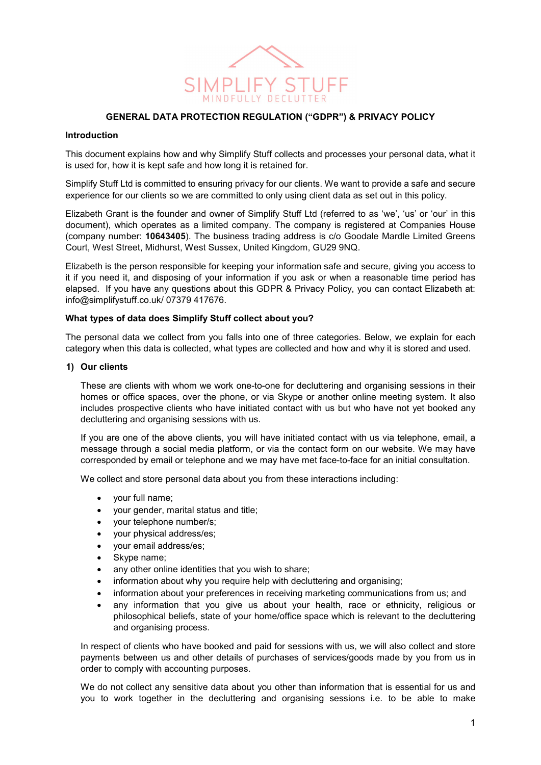

### GENERAL DATA PROTECTION REGULATION ("GDPR") & PRIVACY POLICY

#### Introduction

This document explains how and why Simplify Stuff collects and processes your personal data, what it is used for, how it is kept safe and how long it is retained for.

Simplify Stuff Ltd is committed to ensuring privacy for our clients. We want to provide a safe and secure experience for our clients so we are committed to only using client data as set out in this policy.

Elizabeth Grant is the founder and owner of Simplify Stuff Ltd (referred to as 'we', 'us' or 'our' in this document), which operates as a limited company. The company is registered at Companies House (company number: 10643405). The business trading address is c/o Goodale Mardle Limited Greens Court, West Street, Midhurst, West Sussex, United Kingdom, GU29 9NQ.

Elizabeth is the person responsible for keeping your information safe and secure, giving you access to it if you need it, and disposing of your information if you ask or when a reasonable time period has elapsed. If you have any questions about this GDPR & Privacy Policy, you can contact Elizabeth at: info@simplifystuff.co.uk/ 07379 417676.

#### What types of data does Simplify Stuff collect about you?

The personal data we collect from you falls into one of three categories. Below, we explain for each category when this data is collected, what types are collected and how and why it is stored and used.

#### 1) Our clients

These are clients with whom we work one-to-one for decluttering and organising sessions in their homes or office spaces, over the phone, or via Skype or another online meeting system. It also includes prospective clients who have initiated contact with us but who have not yet booked any decluttering and organising sessions with us.

If you are one of the above clients, you will have initiated contact with us via telephone, email, a message through a social media platform, or via the contact form on our website. We may have corresponded by email or telephone and we may have met face-to-face for an initial consultation.

We collect and store personal data about you from these interactions including:

- your full name;
- your gender, marital status and title;
- your telephone number/s;
- your physical address/es;
- your email address/es;
- Skype name;
- any other online identities that you wish to share;
- information about why you require help with decluttering and organising;
- information about your preferences in receiving marketing communications from us; and
- any information that you give us about your health, race or ethnicity, religious or philosophical beliefs, state of your home/office space which is relevant to the decluttering and organising process.

In respect of clients who have booked and paid for sessions with us, we will also collect and store payments between us and other details of purchases of services/goods made by you from us in order to comply with accounting purposes.

We do not collect any sensitive data about you other than information that is essential for us and you to work together in the decluttering and organising sessions i.e. to be able to make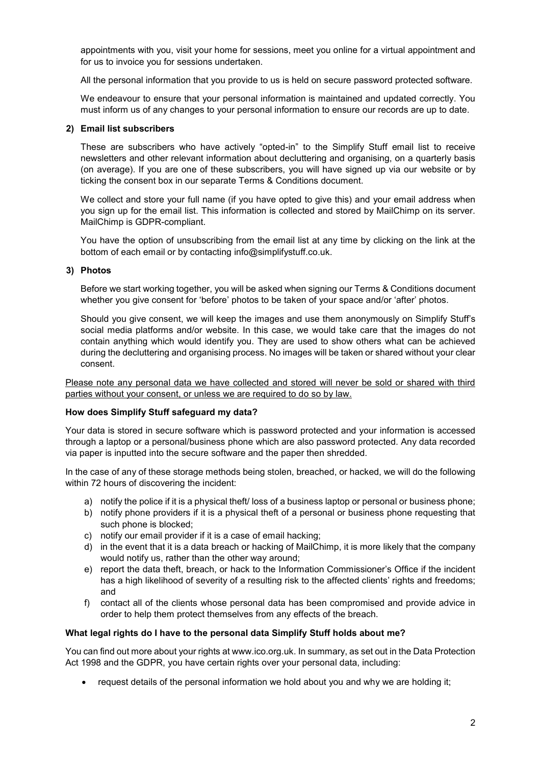appointments with you, visit your home for sessions, meet you online for a virtual appointment and for us to invoice you for sessions undertaken.

All the personal information that you provide to us is held on secure password protected software.

We endeavour to ensure that your personal information is maintained and updated correctly. You must inform us of any changes to your personal information to ensure our records are up to date.

### 2) Email list subscribers

These are subscribers who have actively "opted-in" to the Simplify Stuff email list to receive newsletters and other relevant information about decluttering and organising, on a quarterly basis (on average). If you are one of these subscribers, you will have signed up via our website or by ticking the consent box in our separate Terms & Conditions document.

We collect and store your full name (if you have opted to give this) and your email address when you sign up for the email list. This information is collected and stored by MailChimp on its server. MailChimp is GDPR-compliant.

You have the option of unsubscribing from the email list at any time by clicking on the link at the bottom of each email or by contacting info@simplifystuff.co.uk.

### 3) Photos

Before we start working together, you will be asked when signing our Terms & Conditions document whether you give consent for 'before' photos to be taken of your space and/or 'after' photos.

Should you give consent, we will keep the images and use them anonymously on Simplify Stuff's social media platforms and/or website. In this case, we would take care that the images do not contain anything which would identify you. They are used to show others what can be achieved during the decluttering and organising process. No images will be taken or shared without your clear consent.

Please note any personal data we have collected and stored will never be sold or shared with third parties without your consent, or unless we are required to do so by law.

#### How does Simplify Stuff safeguard my data?

Your data is stored in secure software which is password protected and your information is accessed through a laptop or a personal/business phone which are also password protected. Any data recorded via paper is inputted into the secure software and the paper then shredded.

In the case of any of these storage methods being stolen, breached, or hacked, we will do the following within 72 hours of discovering the incident:

- a) notify the police if it is a physical theft/ loss of a business laptop or personal or business phone;
- b) notify phone providers if it is a physical theft of a personal or business phone requesting that such phone is blocked;
- c) notify our email provider if it is a case of email hacking;
- d) in the event that it is a data breach or hacking of MailChimp, it is more likely that the company would notify us, rather than the other way around;
- e) report the data theft, breach, or hack to the Information Commissioner's Office if the incident has a high likelihood of severity of a resulting risk to the affected clients' rights and freedoms; and
- f) contact all of the clients whose personal data has been compromised and provide advice in order to help them protect themselves from any effects of the breach.

### What legal rights do I have to the personal data Simplify Stuff holds about me?

You can find out more about your rights at www.ico.org.uk. In summary, as set out in the Data Protection Act 1998 and the GDPR, you have certain rights over your personal data, including:

• request details of the personal information we hold about you and why we are holding it;